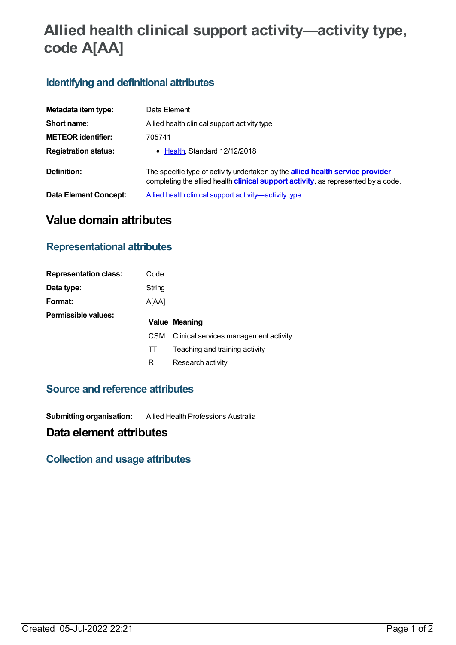# **Allied health clinical support activity—activity type, code A[AA]**

# **Identifying and definitional attributes**

| Metadata item type:         | Data Element                                                                                                                                                                       |  |  |
|-----------------------------|------------------------------------------------------------------------------------------------------------------------------------------------------------------------------------|--|--|
| Short name:                 | Allied health clinical support activity type                                                                                                                                       |  |  |
| <b>METEOR identifier:</b>   | 705741                                                                                                                                                                             |  |  |
| <b>Registration status:</b> | • Health Standard 12/12/2018                                                                                                                                                       |  |  |
| Definition:                 | The specific type of activity undertaken by the <b>allied health service provider</b><br>completing the allied health <b>clinical support activity</b> , as represented by a code. |  |  |
| Data Element Concept:       | Allied health clinical support activity—activity type                                                                                                                              |  |  |

# **Value domain attributes**

#### **Representational attributes**

| <b>Representation class:</b> | Code       |                                       |
|------------------------------|------------|---------------------------------------|
| Data type:                   | String     |                                       |
| Format:                      | A[AA]      |                                       |
| Permissible values:          |            | Value Meaning                         |
|                              | <b>CSM</b> | Clinical services management activity |
|                              | TT         | Teaching and training activity        |
|                              | R          | Research activity                     |

### **Source and reference attributes**

**Submitting organisation:** Allied Health Professions Australia

## **Data element attributes**

#### **Collection and usage attributes**